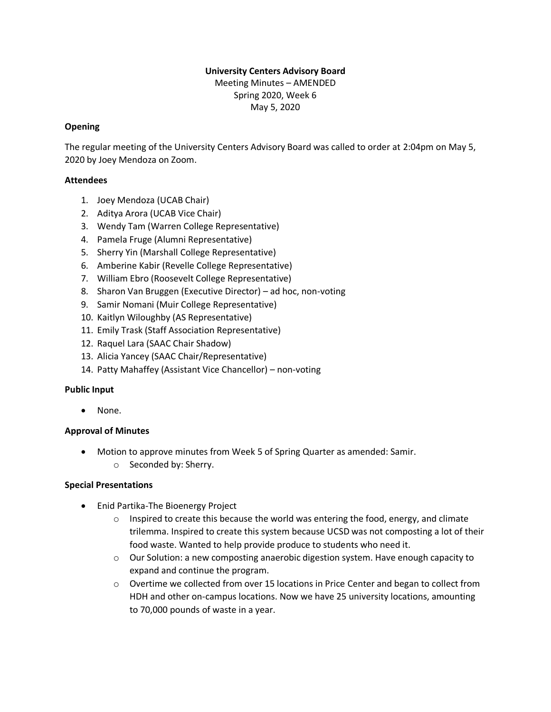# **University Centers Advisory Board**

Meeting Minutes – AMENDED Spring 2020, Week 6 May 5, 2020

### **Opening**

The regular meeting of the University Centers Advisory Board was called to order at 2:04pm on May 5, 2020 by Joey Mendoza on Zoom.

### **Attendees**

- 1. Joey Mendoza (UCAB Chair)
- 2. Aditya Arora (UCAB Vice Chair)
- 3. Wendy Tam (Warren College Representative)
- 4. Pamela Fruge (Alumni Representative)
- 5. Sherry Yin (Marshall College Representative)
- 6. Amberine Kabir (Revelle College Representative)
- 7. William Ebro (Roosevelt College Representative)
- 8. Sharon Van Bruggen (Executive Director) ad hoc, non-voting
- 9. Samir Nomani (Muir College Representative)
- 10. Kaitlyn Wiloughby (AS Representative)
- 11. Emily Trask (Staff Association Representative)
- 12. Raquel Lara (SAAC Chair Shadow)
- 13. Alicia Yancey (SAAC Chair/Representative)
- 14. Patty Mahaffey (Assistant Vice Chancellor) non-voting

#### **Public Input**

• None.

### **Approval of Minutes**

- Motion to approve minutes from Week 5 of Spring Quarter as amended: Samir.
	- o Seconded by: Sherry.

#### **Special Presentations**

- Enid Partika-The Bioenergy Project
	- $\circ$  Inspired to create this because the world was entering the food, energy, and climate trilemma. Inspired to create this system because UCSD was not composting a lot of their food waste. Wanted to help provide produce to students who need it.
	- $\circ$  Our Solution: a new composting anaerobic digestion system. Have enough capacity to expand and continue the program.
	- $\circ$  Overtime we collected from over 15 locations in Price Center and began to collect from HDH and other on-campus locations. Now we have 25 university locations, amounting to 70,000 pounds of waste in a year.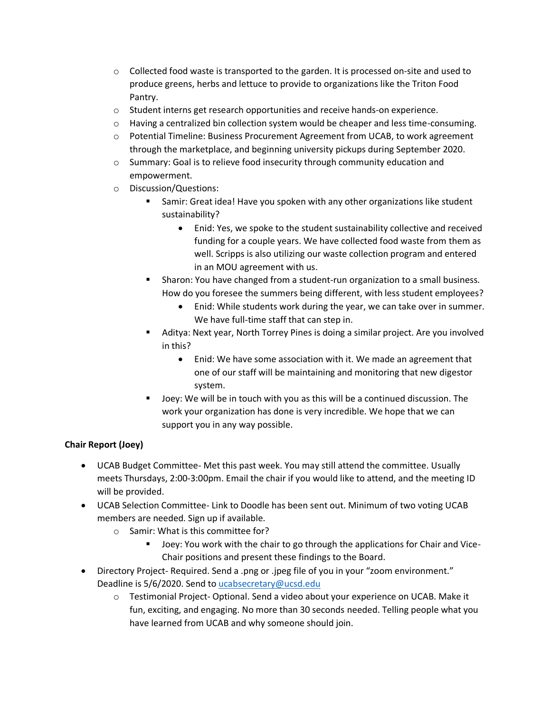- $\circ$  Collected food waste is transported to the garden. It is processed on-site and used to produce greens, herbs and lettuce to provide to organizations like the Triton Food Pantry.
- $\circ$  Student interns get research opportunities and receive hands-on experience.
- $\circ$  Having a centralized bin collection system would be cheaper and less time-consuming.
- o Potential Timeline: Business Procurement Agreement from UCAB, to work agreement through the marketplace, and beginning university pickups during September 2020.
- o Summary: Goal is to relieve food insecurity through community education and empowerment.
- o Discussion/Questions:
	- Samir: Great idea! Have you spoken with any other organizations like student sustainability?
		- Enid: Yes, we spoke to the student sustainability collective and received funding for a couple years. We have collected food waste from them as well. Scripps is also utilizing our waste collection program and entered in an MOU agreement with us.
	- Sharon: You have changed from a student-run organization to a small business. How do you foresee the summers being different, with less student employees?
		- Enid: While students work during the year, we can take over in summer. We have full-time staff that can step in.
	- Aditya: Next year, North Torrey Pines is doing a similar project. Are you involved in this?
		- Enid: We have some association with it. We made an agreement that one of our staff will be maintaining and monitoring that new digestor system.
	- Joey: We will be in touch with you as this will be a continued discussion. The work your organization has done is very incredible. We hope that we can support you in any way possible.

## **Chair Report (Joey)**

- UCAB Budget Committee- Met this past week. You may still attend the committee. Usually meets Thursdays, 2:00-3:00pm. Email the chair if you would like to attend, and the meeting ID will be provided.
- UCAB Selection Committee- Link to Doodle has been sent out. Minimum of two voting UCAB members are needed. Sign up if available.
	- o Samir: What is this committee for?
		- Joey: You work with the chair to go through the applications for Chair and Vice-Chair positions and present these findings to the Board.
- Directory Project- Required. Send a .png or .jpeg file of you in your "zoom environment." Deadline is 5/6/2020. Send to [ucabsecretary@ucsd.edu](mailto:ucabsecretary@ucsd.edu)
	- o Testimonial Project- Optional. Send a video about your experience on UCAB. Make it fun, exciting, and engaging. No more than 30 seconds needed. Telling people what you have learned from UCAB and why someone should join.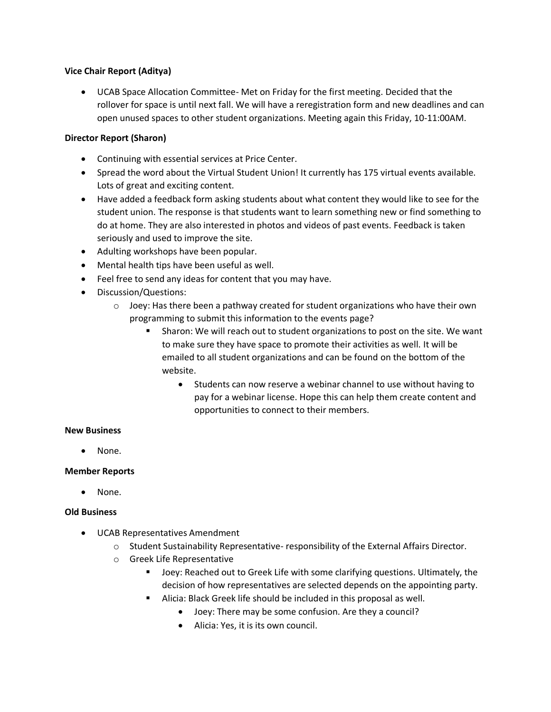#### **Vice Chair Report (Aditya)**

• UCAB Space Allocation Committee- Met on Friday for the first meeting. Decided that the rollover for space is until next fall. We will have a reregistration form and new deadlines and can open unused spaces to other student organizations. Meeting again this Friday, 10-11:00AM.

### **Director Report (Sharon)**

- Continuing with essential services at Price Center.
- Spread the word about the Virtual Student Union! It currently has 175 virtual events available. Lots of great and exciting content.
- Have added a feedback form asking students about what content they would like to see for the student union. The response is that students want to learn something new or find something to do at home. They are also interested in photos and videos of past events. Feedback is taken seriously and used to improve the site.
- Adulting workshops have been popular.
- Mental health tips have been useful as well.
- Feel free to send any ideas for content that you may have.
- Discussion/Questions:
	- $\circ$  Joey: Has there been a pathway created for student organizations who have their own programming to submit this information to the events page?
		- Sharon: We will reach out to student organizations to post on the site. We want to make sure they have space to promote their activities as well. It will be emailed to all student organizations and can be found on the bottom of the website.
			- Students can now reserve a webinar channel to use without having to pay for a webinar license. Hope this can help them create content and opportunities to connect to their members.

#### **New Business**

• None.

### **Member Reports**

• None.

### **Old Business**

- UCAB Representatives Amendment
	- $\circ$  Student Sustainability Representative- responsibility of the External Affairs Director.
	- o Greek Life Representative
		- Joey: Reached out to Greek Life with some clarifying questions. Ultimately, the decision of how representatives are selected depends on the appointing party.
		- Alicia: Black Greek life should be included in this proposal as well.
			- Joey: There may be some confusion. Are they a council?
			- Alicia: Yes, it is its own council.